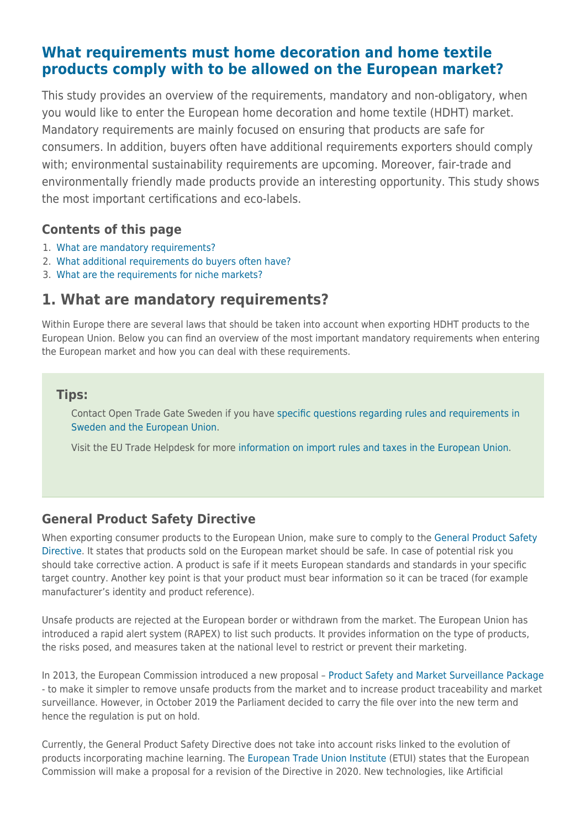# **[What requirements must home decoration and home textile](https://www.cbi.eu/market-information/home-decoration-textiles/buyer-requirements) [products comply with to be allowed on the European market?](https://www.cbi.eu/market-information/home-decoration-textiles/buyer-requirements)**

This study provides an overview of the requirements, mandatory and non-obligatory, when you would like to enter the European home decoration and home textile (HDHT) market. Mandatory requirements are mainly focused on ensuring that products are safe for consumers. In addition, buyers often have additional requirements exporters should comply with; environmental sustainability requirements are upcoming. Moreover, fair-trade and environmentally friendly made products provide an interesting opportunity. This study shows the most important certifications and eco-labels.

# **Contents of this page**

- 1. [What are mandatory requirements?](#page--1-0)
- 2. [What additional requirements do buyers often have?](#page--1-0)
- 3. [What are the requirements for niche markets?](#page--1-0)

# **1. What are mandatory requirements?**

Within Europe there are several laws that should be taken into account when exporting HDHT products to the European Union. Below you can find an overview of the most important mandatory requirements when entering the European market and how you can deal with these requirements.

## **Tips:**

Contact Open Trade Gate Sweden if you have [specific questions regarding rules and requirements in](http://www.opentradegate.se/) [Sweden and the European Union](http://www.opentradegate.se/).

Visit the EU Trade Helpdesk for more [information on import rules and taxes in the European Union.](https://trade.ec.europa.eu/tradehelp/)

# **General Product Safety Directive**

When exporting consumer products to the European Union, make sure to comply to the [General Product Safety](http://eur-lex.europa.eu/LexUriServ/LexUriServ.do?uri=CELEX:32001L0095:EN:NOT) [Directive](http://eur-lex.europa.eu/LexUriServ/LexUriServ.do?uri=CELEX:32001L0095:EN:NOT). It states that products sold on the European market should be safe. In case of potential risk you should take corrective action. A product is safe if it meets European standards and standards in your specific target country. Another key point is that your product must bear information so it can be traced (for example manufacturer's identity and product reference).

Unsafe products are rejected at the European border or withdrawn from the market. The European Union has introduced a rapid alert system (RAPEX) to list such products. It provides information on the type of products, the risks posed, and measures taken at the national level to restrict or prevent their marketing.

In 2013, the European Commission introduced a new proposal – [Product Safety and Market Surveillance Package](https://ec.europa.eu/commission/presscorner/detail/en/MEMO_13_93) - to make it simpler to remove unsafe products from the market and to increase product traceability and market surveillance. However, in October 2019 the Parliament decided to carry the file over into the new term and hence the regulation is put on hold.

Currently, the General Product Safety Directive does not take into account risks linked to the evolution of products incorporating machine learning. The [European Trade Union Institute](https://www.etui.org/Publications2/Foresight-briefs/Labour-in-the-age-of-AI-why-regulation-is-needed-to-protect-workers) (ETUI) states that the European Commission will make a proposal for a revision of the Directive in 2020. New technologies, like Artificial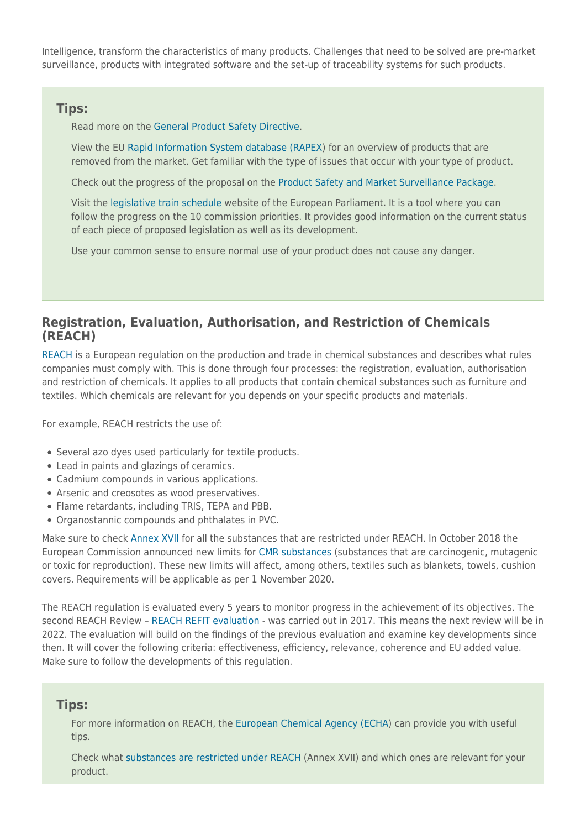Intelligence, transform the characteristics of many products. Challenges that need to be solved are pre-market surveillance, products with integrated software and the set-up of traceability systems for such products.

#### **Tips:**

Read more on the [General Product Safety Directive](http://eur-lex.europa.eu/LexUriServ/LexUriServ.do?uri=CELEX:32001L0095:EN:NOT).

View the EU [Rapid Information System database \(RAPEX](https://ec.europa.eu/consumers/consumers_safety/safety_products/rapex/alerts/?event=main.listNotifications&lng=en)) for an overview of products that are removed from the market. Get familiar with the type of issues that occur with your type of product.

Check out the progress of the proposal on the [Product Safety and Market Surveillance Package.](https://eur-lex.europa.eu/procedure/EN/2013_49)

Visit the [legislative train schedule](https://www.europarl.europa.eu/legislative-train/theme-deeper-and-fairer-internal-market-with-a-strengthened-industrial-base-products/file-consumer-product-safety) website of the European Parliament. It is a tool where you can follow the progress on the 10 commission priorities. It provides good information on the current status of each piece of proposed legislation as well as its development.

Use your common sense to ensure normal use of your product does not cause any danger.

### **Registration, Evaluation, Authorisation, and Restriction of Chemicals (REACH)**

[REACH](https://ec.europa.eu/environment/chemicals/reach/reach_en.htm) is a European regulation on the production and trade in chemical substances and describes what rules companies must comply with. This is done through four processes: the registration, evaluation, authorisation and restriction of chemicals. It applies to all products that contain chemical substances such as furniture and textiles. Which chemicals are relevant for you depends on your specific products and materials.

For example, REACH restricts the use of:

- Several azo dyes used particularly for textile products.
- Lead in paints and glazings of ceramics.
- Cadmium compounds in various applications.
- Arsenic and creosotes as wood preservatives.
- Flame retardants, including TRIS, TEPA and PBB.
- Organostannic compounds and phthalates in PVC.

Make sure to check [Annex XVII](https://echa.europa.eu/substances-restricted-under-reach) for all the substances that are restricted under REACH. In October 2018 the European Commission announced new limits for [CMR substances](https://www.eurofins.com/consumer-product-testing/media-centre/news/new-limits-for-33-cmr-substances/) (substances that are carcinogenic, mutagenic or toxic for reproduction). These new limits will affect, among others, textiles such as blankets, towels, cushion covers. Requirements will be applicable as per 1 November 2020.

The REACH regulation is evaluated every 5 years to monitor progress in the achievement of its objectives. The second REACH Review – [REACH REFIT evaluation](https://ec.europa.eu/environment/chemicals/reach/review_2017_en.htm) - was carried out in 2017. This means the next review will be in 2022. The evaluation will build on the findings of the previous evaluation and examine key developments since then. It will cover the following criteria: effectiveness, efficiency, relevance, coherence and EU added value. Make sure to follow the developments of this regulation.

#### **Tips:**

For more information on REACH, the [European Chemical Agency \(ECHA\)](https://echa.europa.eu/) can provide you with useful tips.

Check what [substances are restricted under REACH](https://echa.europa.eu/substances-restricted-under-reach) (Annex XVII) and which ones are relevant for your product.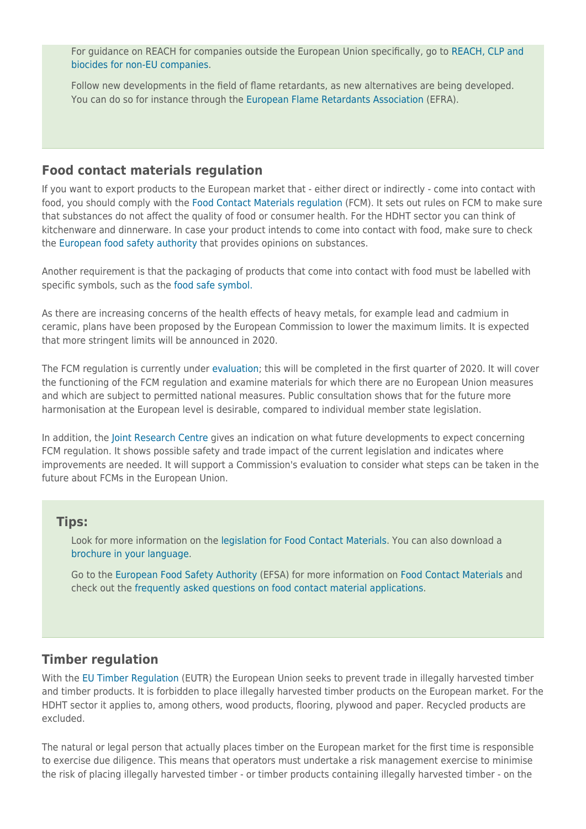For guidance on REACH for companies outside the European Union specifically, go to [REACH, CLP and](https://echa.europa.eu/support/getting-started/enquiry-on-reach-and-clp) [biocides for non-EU companies.](https://echa.europa.eu/support/getting-started/enquiry-on-reach-and-clp)

Follow new developments in the field of flame retardants, as new alternatives are being developed. You can do so for instance through the [European Flame Retardants Association](http://www.flameretardants.eu/) (EFRA).

#### **Food contact materials regulation**

If you want to export products to the European market that - either direct or indirectly - come into contact with food, you should comply with the [Food Contact Materials regulation](https://ec.europa.eu/food/safety/chemical_safety/food_contact_materials_en) (FCM). It sets out rules on FCM to make sure that substances do not affect the quality of food or consumer health. For the HDHT sector you can think of kitchenware and dinnerware. In case your product intends to come into contact with food, make sure to check the [European food safety authority](http://www.efsa.europa.eu/) that provides opinions on substances.

Another requirement is that the packaging of products that come into contact with food must be labelled with specific symbols, such as the [food safe symbol.](https://ec.europa.eu/food/sites/food/files/safety/docs/cs_fcm_legis_fcm-symbols.doc)

As there are increasing concerns of the health effects of heavy metals, for example lead and cadmium in ceramic, plans have been proposed by the European Commission to lower the maximum limits. It is expected that more stringent limits will be announced in 2020.

The FCM regulation is currently under [evaluation](https://ec.europa.eu/info/law/better-regulation/have-your-say/initiatives/1212-Evaluation-of-Food-Contact-Materials-FCM-); this will be completed in the first quarter of 2020. It will cover the functioning of the FCM regulation and examine materials for which there are no European Union measures and which are subject to permitted national measures. Public consultation shows that for the future more harmonisation at the European level is desirable, compared to individual member state legislation.

In addition, the [Joint Research Centre](https://ec.europa.eu/jrc/en/science-update/mapping-industry-and-regulatory-frameworks-food-contact-materials-support-better-regulation) gives an indication on what future developments to expect concerning FCM regulation. It shows possible safety and trade impact of the current legislation and indicates where improvements are needed. It will support a Commission's evaluation to consider what steps can be taken in the future about FCMs in the European Union.

#### **Tips:**

Look for more information on the [legislation for Food Contact Materials.](https://ec.europa.eu/food/safety/chemical_safety/food_contact_materials/legislation_en) You can also download a [brochure in your language.](https://ec.europa.eu/food/safety/chemical_safety/food_contact_materials/related-docs_en)

Go to the [European Food Safety Authority](http://www.efsa.europa.eu/) (EFSA) for more information on [Food Contact Materials](http://www.efsa.europa.eu/en/topics/topic/food-contact-materials) and check out the [frequently asked questions on food contact material applications](http://www.efsa.europa.eu/en/applications/foodcontactmaterials/faq).

#### **Timber regulation**

With the [EU Timber Regulation](https://ec.europa.eu/environment/forests/timber_regulation.htm) (EUTR) the European Union seeks to prevent trade in illegally harvested timber and timber products. It is forbidden to place illegally harvested timber products on the European market. For the HDHT sector it applies to, among others, wood products, flooring, plywood and paper. Recycled products are excluded.

The natural or legal person that actually places timber on the European market for the first time is responsible to exercise due diligence. This means that operators must undertake a risk management exercise to minimise the risk of placing illegally harvested timber - or timber products containing illegally harvested timber - on the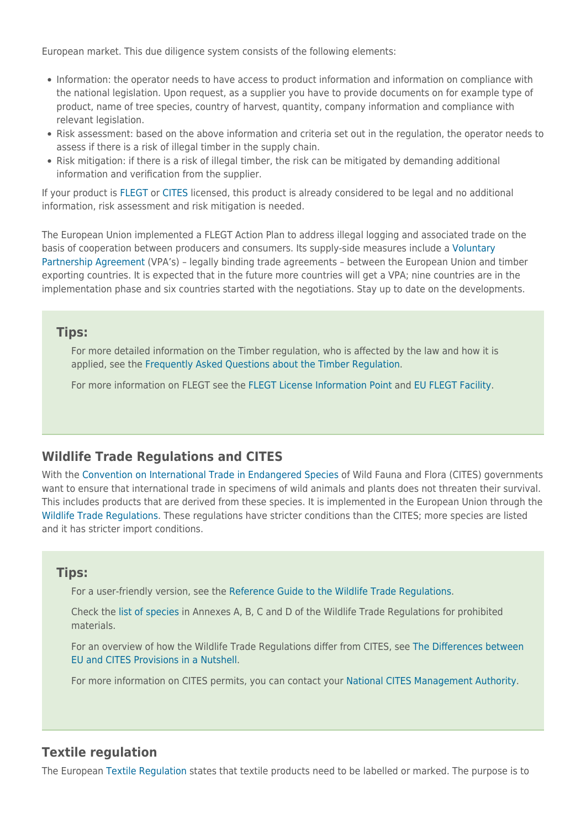European market. This due diligence system consists of the following elements:

- Information: the operator needs to have access to product information and information on compliance with the national legislation. Upon request, as a supplier you have to provide documents on for example type of product, name of tree species, country of harvest, quantity, company information and compliance with relevant legislation.
- Risk assessment: based on the above information and criteria set out in the regulation, the operator needs to assess if there is a risk of illegal timber in the supply chain.
- Risk mitigation: if there is a risk of illegal timber, the risk can be mitigated by demanding additional information and verification from the supplier.

If your product is [FLEGT](https://ec.europa.eu/environment/forests/flegt.htm) or [CITES](https://ec.europa.eu/environment/cites/index_en.htm) licensed, this product is already considered to be legal and no additional information, risk assessment and risk mitigation is needed.

The European Union implemented a FLEGT Action Plan to address illegal logging and associated trade on the basis of cooperation between producers and consumers. Its supply-side measures include a [Voluntary](http://www.flegtlicence.org/vpa-countries) [Partnership Agreement](http://www.flegtlicence.org/vpa-countries) (VPA's) – legally binding trade agreements – between the European Union and timber exporting countries. It is expected that in the future more countries will get a VPA; nine countries are in the implementation phase and six countries started with the negotiations. Stay up to date on the developments.

### **Tips:**

For more detailed information on the Timber regulation, who is affected by the law and how it is applied, see the [Frequently Asked Questions about the Timber Regulation](http://ec.europa.eu/environment/eutr2013/faq/index_en.htm).

For more information on FLEGT see the [FLEGT License Information Point](http://www.flegtlicence.org/) and [EU FLEGT Facility](http://www.euflegt.efi.int/home).

# **Wildlife Trade Regulations and CITES**

With the [Convention on International Trade in Endangered Species](https://www.cites.org/) of Wild Fauna and Flora (CITES) governments want to ensure that international trade in specimens of wild animals and plants does not threaten their survival. This includes products that are derived from these species. It is implemented in the European Union through the [Wildlife Trade Regulations.](http://ec.europa.eu/environment/cites/legislation_en.htm) These regulations have stricter conditions than the CITES; more species are listed and it has stricter import conditions.

### **Tips:**

For a user-friendly version, see the [Reference Guide to the Wildlife Trade Regulations.](http://ec.europa.eu/environment/cites/pdf/trade_regulations/short_ref_guide.pdf)

Check the [list of species](http://eur-lex.europa.eu/legal-content/EN/TXT/?uri=CELEX:32014R1320) in Annexes A, B, C and D of the Wildlife Trade Regulations for prohibited materials.

For an overview of how the Wildlife Trade Regulations differ from CITES, see [The Differences between](http://ec.europa.eu/environment/cites/pdf/differences_b_eu_and_cites.pdf) [EU and CITES Provisions in a Nutshell.](http://ec.europa.eu/environment/cites/pdf/differences_b_eu_and_cites.pdf)

For more information on CITES permits, you can contact your [National CITES Management Authority.](https://cites.org/cms/index.php/component/cp/)

### **Textile regulation**

The European [Textile Regulation](https://ec.europa.eu/growth/sectors/fashion/textiles-clothing/legislation/) states that textile products need to be labelled or marked. The purpose is to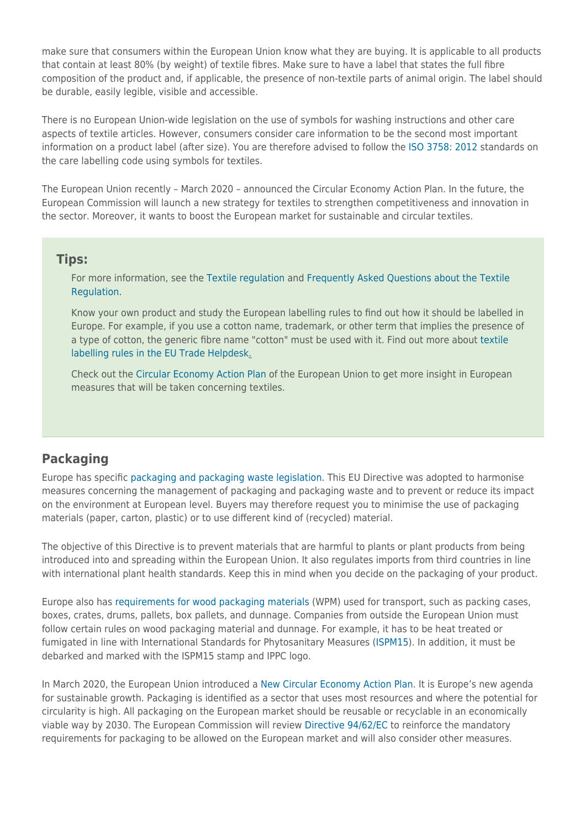make sure that consumers within the European Union know what they are buying. It is applicable to all products that contain at least 80% (by weight) of textile fibres. Make sure to have a label that states the full fibre composition of the product and, if applicable, the presence of non-textile parts of animal origin. The label should be durable, easily legible, visible and accessible.

There is no European Union-wide legislation on the use of symbols for washing instructions and other care aspects of textile articles. However, consumers consider care information to be the second most important information on a product label (after size). You are therefore advised to follow the [ISO 3758: 2012](http://www.iso.org/iso/home/store/catalogue_ics/catalogue_detail_ics.htm?csnumber=42918) standards on the care labelling code using symbols for textiles.

The European Union recently – March 2020 – announced the Circular Economy Action Plan. In the future, the European Commission will launch a new strategy for textiles to strengthen competitiveness and innovation in the sector. Moreover, it wants to boost the European market for sustainable and circular textiles.

#### **Tips:**

For more information, see the [Textile regulation](https://ec.europa.eu/growth/sectors/fashion/textiles-clothing/legislation/) and [Frequently Asked Questions about the Textile](https://ec.europa.eu/docsroom/documents/9808/attachments/1/translations/en/renditions/pdf) [Regulation.](https://ec.europa.eu/docsroom/documents/9808/attachments/1/translations/en/renditions/pdf)

Know your own product and study the European labelling rules to find out how it should be labelled in Europe. For example, if you use a cotton name, trademark, or other term that implies the presence of a type of cotton, the generic fibre name "cotton" must be used with it. Find out more about [textile](https://trade.ec.europa.eu/tradehelp/labelling-and-packaging) [labelling rules in the EU Trade Helpdesk.](https://trade.ec.europa.eu/tradehelp/labelling-and-packaging)

Check out the [Circular Economy Action Plan](https://eur-lex.europa.eu/legal-content/EN/TXT/?qid=1583933814386&uri=COM:2020:98:FIN) of the European Union to get more insight in European measures that will be taken concerning textiles.

## **Packaging**

Europe has specific [packaging and packaging waste legislation](https://ec.europa.eu/environment/waste/packaging/index_en.htm). This EU Directive was adopted to harmonise measures concerning the management of packaging and packaging waste and to prevent or reduce its impact on the environment at European level. Buyers may therefore request you to minimise the use of packaging materials (paper, carton, plastic) or to use different kind of (recycled) material.

The objective of this Directive is to prevent materials that are harmful to plants or plant products from being introduced into and spreading within the European Union. It also regulates imports from third countries in line with international plant health standards. Keep this in mind when you decide on the packaging of your product.

Europe also has [requirements for wood packaging materials](https://ec.europa.eu/food/plant/plant_health_biosecurity/non_eu_trade/wood_packaging_dunnage_en) (WPM) used for transport, such as packing cases, boxes, crates, drums, pallets, box pallets, and dunnage. Companies from outside the European Union must follow certain rules on wood packaging material and dunnage. For example, it has to be heat treated or fumigated in line with International Standards for Phytosanitary Measures [\(ISPM15](https://www.ippc.int/static/media/files/publication/en/2019/02/ISPM_15_2018_En_WoodPackaging_Post-CPM13_Rev_Annex1and2_Fixed_2019-02-01.pdf)). In addition, it must be debarked and marked with the ISPM15 stamp and IPPC logo.

In March 2020, the European Union introduced a [New Circular Economy Action Plan.](https://ec.europa.eu/environment/circular-economy/index_en.htm) It is Europe's new agenda for sustainable growth. Packaging is identified as a sector that uses most resources and where the potential for circularity is high. All packaging on the European market should be reusable or recyclable in an economically viable way by 2030. The European Commission will review [Directive 94/62/EC](https://eur-lex.europa.eu/legal-content/en/TXT/?uri=CELEX:31994L0062) to reinforce the mandatory requirements for packaging to be allowed on the European market and will also consider other measures.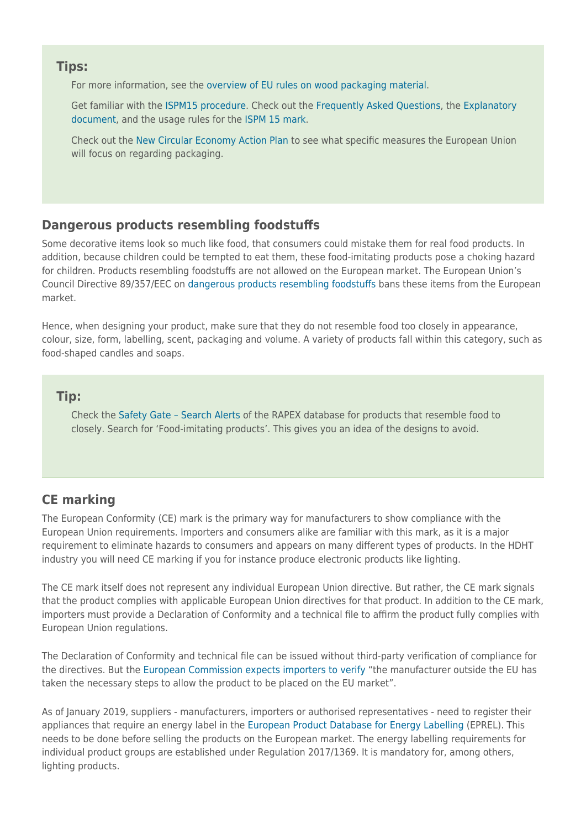#### **Tips:**

For more information, see the [overview of EU rules on wood packaging material](https://ec.europa.eu/food/sites/food/files/plant/docs/ph_biosec_trade-non-eu_overview_eu_rules.pdf).

Get familiar with the [ISPM15 procedure.](https://www.ippc.int/static/media/files/publication/en/2019/02/ISPM_15_2018_En_WoodPackaging_Post-CPM13_Rev_Annex1and2_Fixed_2019-02-01.pdf) Check out the [Frequently Asked Questions,](https://www.ippc.int/en/faq/#Ispm15) the [Explanatory](https://www.ippc.int/static/media/files/publication/en/2017/02/ISPM_15_ED_En_2017-02-10.pdf) [document,](https://www.ippc.int/static/media/files/publication/en/2017/02/ISPM_15_ED_En_2017-02-10.pdf) and the usage rules for the [ISPM 15 mark.](https://www.ippc.int/sites/default/files/documents/20140623/usage_rules_for_ispm_15_symbol_by_fao_legal_en_2014-03_201406231520--304.12%20KB.pdf)

Check out the [New Circular Economy Action Plan](https://eur-lex.europa.eu/legal-content/EN/TXT/?qid=1583933814386&uri=COM:2020:98:FIN) to see what specific measures the European Union will focus on regarding packaging.

# **Dangerous products resembling foodstuffs**

Some decorative items look so much like food, that consumers could mistake them for real food products. In addition, because children could be tempted to eat them, these food-imitating products pose a choking hazard for children. Products resembling foodstuffs are not allowed on the European market. The European Union's Council Directive 89/357/EEC on [dangerous products resembling foodstuffs](https://eur-lex.europa.eu/legal-content/EN/TXT/?uri=LEGISSUM:l21189) bans these items from the European market.

Hence, when designing your product, make sure that they do not resemble food too closely in appearance, colour, size, form, labelling, scent, packaging and volume. A variety of products fall within this category, such as food-shaped candles and soaps.

## **Tip:**

Check the [Safety Gate – Search Alerts](https://ec.europa.eu/consumers/consumers_safety/safety_products/rapex/alerts/?event=main.search&lng=en) of the RAPEX database for products that resemble food to closely. Search for 'Food-imitating products'. This gives you an idea of the designs to avoid.

# **CE marking**

The European Conformity (CE) mark is the primary way for manufacturers to show compliance with the European Union requirements. Importers and consumers alike are familiar with this mark, as it is a major requirement to eliminate hazards to consumers and appears on many different types of products. In the HDHT industry you will need CE marking if you for instance produce electronic products like lighting.

The CE mark itself does not represent any individual European Union directive. But rather, the CE mark signals that the product complies with applicable European Union directives for that product. In addition to the CE mark, importers must provide a Declaration of Conformity and a technical file to affirm the product fully complies with European Union regulations.

The Declaration of Conformity and technical file can be issued without third-party verification of compliance for the directives. But the [European Commission expects importers to verify](https://ec.europa.eu/growth/single-market/ce-marking/importers-distributors_en) "the manufacturer outside the EU has taken the necessary steps to allow the product to be placed on the EU market".

As of January 2019, suppliers - manufacturers, importers or authorised representatives - need to register their appliances that require an energy label in the [European Product Database for Energy Labelling](https://ec.europa.eu/info/energy-climate-change-environment/standards-tools-and-labels/products-labelling-rules-and-requirements/energy-label-and-ecodesign/product-database_en) (EPREL). This needs to be done before selling the products on the European market. The energy labelling requirements for individual product groups are established under Regulation 2017/1369. It is mandatory for, among others, lighting products.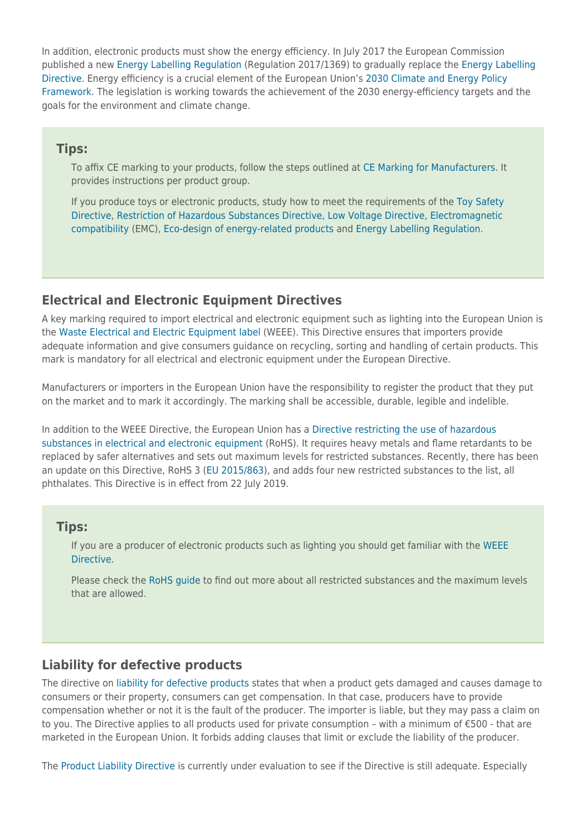In addition, electronic products must show the energy efficiency. In July 2017 the European Commission published a new [Energy Labelling Regulation](https://eur-lex.europa.eu/legal-content/EN/TXT/?qid=1579257746985&uri=CELEX:32017R1369) (Regulation 2017/1369) to gradually replace the [Energy Labelling](https://eur-lex.europa.eu/legal-content/EN/ALL/?uri=CELEX%3A32010L0030) [Directive.](https://eur-lex.europa.eu/legal-content/EN/ALL/?uri=CELEX%3A32010L0030) Energy efficiency is a crucial element of the European Union's [2030 Climate and Energy Policy](https://ec.europa.eu/clima/policies/strategies/2030_en) [Framework.](https://ec.europa.eu/clima/policies/strategies/2030_en) The legislation is working towards the achievement of the 2030 energy-efficiency targets and the goals for the environment and climate change.

#### **Tips:**

To affix CE marking to your products, follow the steps outlined at [CE Marking for Manufacturers](https://ec.europa.eu/growth/single-market/ce-marking/manufacturers_en). It provides instructions per product group.

If you produce toys or electronic products, study how to meet the requirements of the [Toy Safety](https://ec.europa.eu/growth/sectors/toys/safety_de) [Directive](https://ec.europa.eu/growth/sectors/toys/safety_de), [Restriction of Hazardous Substances Directive](http://eur-lex.europa.eu/legal-content/EN/TXT/?uri=CELEX:32011L0065), [Low Voltage Directive,](http://eur-lex.europa.eu/legal-content/EN/TXT/?uri=CELEX:32014L0035&locale=en) [Electromagnetic](https://eur-lex.europa.eu/legal-content/EN/TXT/?qid=1461936830934&uri=CELEX:32014L0030) [compatibility](https://eur-lex.europa.eu/legal-content/EN/TXT/?qid=1461936830934&uri=CELEX:32014L0030) (EMC), [Eco-design of energy-related products](https://eur-lex.europa.eu/legal-content/EN/TXT/?uri=CELEX:32009L0125) and [Energy Labelling Regulation](https://eur-lex.europa.eu/search.html?qid=1579257746985&text=2017/1369&scope=EURLEX&type=quick&lang=en).

### **Electrical and Electronic Equipment Directives**

A key marking required to import electrical and electronic equipment such as lighting into the European Union is the [Waste Electrical and Electric Equipment label](https://eur-lex.europa.eu/search.html?qid=1579258744277&text=2012/19/eu&scope=EURLEX&type=quick&lang=en) (WEEE). This Directive ensures that importers provide adequate information and give consumers guidance on recycling, sorting and handling of certain products. This mark is mandatory for all electrical and electronic equipment under the European Directive.

Manufacturers or importers in the European Union have the responsibility to register the product that they put on the market and to mark it accordingly. The marking shall be accessible, durable, legible and indelible.

In addition to the WEEE Directive, the European Union has a [Directive restricting the use of hazardous](https://eur-lex.europa.eu/search.html?qid=1579258858702&text=2011/65/eu&scope=EURLEX&type=quick&lang=en) [substances in electrical and electronic equipment](https://eur-lex.europa.eu/search.html?qid=1579258858702&text=2011/65/eu&scope=EURLEX&type=quick&lang=en) (RoHS). It requires heavy metals and flame retardants to be replaced by safer alternatives and sets out maximum levels for restricted substances. Recently, there has been an update on this Directive, RoHS 3 ([EU 2015/863](https://eur-lex.europa.eu/legal-content/EN/TXT/?qid=1579259704731&uri=CELEX:32015L0863)), and adds four new restricted substances to the list, all phthalates. This Directive is in effect from 22 July 2019.

#### **Tips:**

If you are a producer of electronic products such as lighting you should get familiar with the [WEEE](https://ec.europa.eu/environment/waste/weee/index_en.htm) [Directive](https://ec.europa.eu/environment/waste/weee/index_en.htm).

Please check the [RoHS guide](https://www.rohsguide.com/) to find out more about all restricted substances and the maximum levels that are allowed.

### **Liability for defective products**

The directive on [liability for defective products](https://ec.europa.eu/growth/single-market/goods/free-movement-sectors/liability-defective-products_en) states that when a product gets damaged and causes damage to consumers or their property, consumers can get compensation. In that case, producers have to provide compensation whether or not it is the fault of the producer. The importer is liable, but they may pass a claim on to you. The Directive applies to all products used for private consumption – with a minimum of €500 - that are marketed in the European Union. It forbids adding clauses that limit or exclude the liability of the producer.

The [Product Liability Directive](https://eur-lex.europa.eu/legal-content/EN/TXT/?uri=CELEX:31985L0374) is currently under evaluation to see if the Directive is still adequate. Especially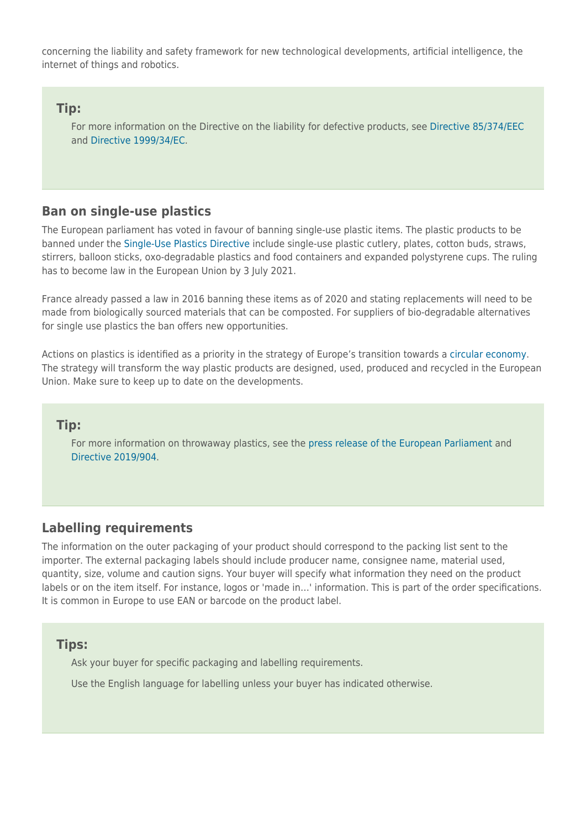concerning the liability and safety framework for new technological developments, artificial intelligence, the internet of things and robotics.

### **Tip:**

For more information on the Directive on the liability for defective products, see [Directive 85/374/EEC](https://eur-lex.europa.eu/legal-content/EN/TXT/?uri=CELEX:31985L0374) and [Directive 1999/34/EC](https://eur-lex.europa.eu/legal-content/EN/TXT/?uri=CELEX:31999L0034).

## **Ban on single-use plastics**

The European parliament has voted in favour of banning single-use plastic items. The plastic products to be banned under the [Single-Use Plastics Directive](https://eur-lex.europa.eu/legal-content/EN/TXT/?uri=uriserv:OJ.L_.2019.155.01.0001.01.ENG) include single-use plastic cutlery, plates, cotton buds, straws, stirrers, balloon sticks, oxo-degradable plastics and food containers and expanded polystyrene cups. The ruling has to become law in the European Union by 3 July 2021.

France already passed a law in 2016 banning these items as of 2020 and stating replacements will need to be made from biologically sourced materials that can be composted. For suppliers of bio-degradable alternatives for single use plastics the ban offers new opportunities.

Actions on plastics is identified as a priority in the strategy of Europe's transition towards a [circular economy.](https://ec.europa.eu/environment/waste/plastic_waste.htm) The strategy will transform the way plastic products are designed, used, produced and recycled in the European Union. Make sure to keep up to date on the developments.

### **Tip:**

For more information on throwaway plastics, see the [press release of the European Parliament](https://www.europarl.europa.eu/news/en/press-room/20190321IPR32111/parliament-seals-ban-on-throwaway-plastics-by-2021) and [Directive 2019/904.](https://eur-lex.europa.eu/legal-content/EN/LSU/?uri=uriserv:OJ.L_.2019.155.01.0001.01.ENG)

# **Labelling requirements**

The information on the outer packaging of your product should correspond to the packing list sent to the importer. The external packaging labels should include producer name, consignee name, material used, quantity, size, volume and caution signs. Your buyer will specify what information they need on the product labels or on the item itself. For instance, logos or 'made in…' information. This is part of the order specifications. It is common in Europe to use EAN or barcode on the product label.

#### **Tips:**

Ask your buyer for specific packaging and labelling requirements.

Use the English language for labelling unless your buyer has indicated otherwise.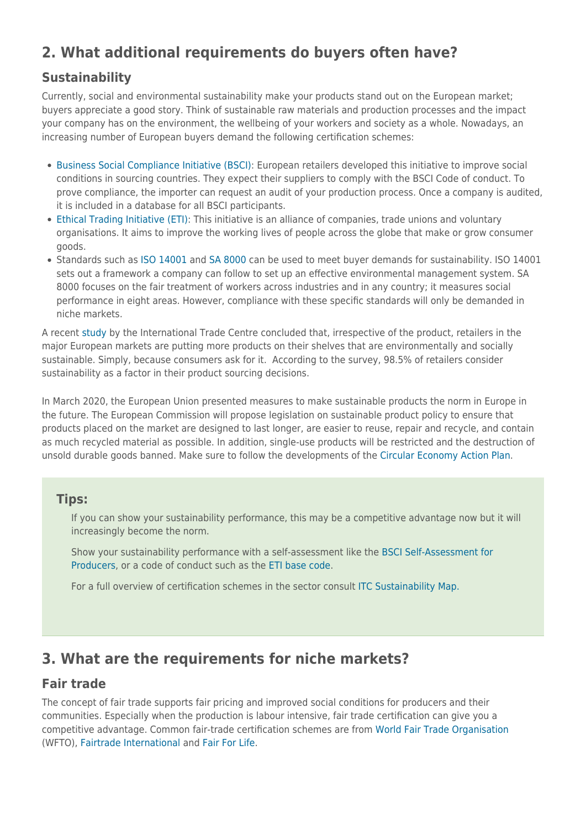# **2. What additional requirements do buyers often have?**

# **Sustainability**

Currently, social and environmental sustainability make your products stand out on the European market; buyers appreciate a good story. Think of sustainable raw materials and production processes and the impact your company has on the environment, the wellbeing of your workers and society as a whole. Nowadays, an increasing number of European buyers demand the following certification schemes:

- [Business Social Compliance Initiative \(BSCI\)](http://www.bsci-intl.org/): European retailers developed this initiative to improve social conditions in sourcing countries. They expect their suppliers to comply with the BSCI Code of conduct. To prove compliance, the importer can request an audit of your production process. Once a company is audited, it is included in a database for all BSCI participants.
- [Ethical Trading Initiative \(ETI\):](http://www.ethicaltrade.org/) This initiative is an alliance of companies, trade unions and voluntary organisations. It aims to improve the working lives of people across the globe that make or grow consumer goods.
- Standards such as [ISO 14001](http://www.iso.org/iso/home/standards/management-standards/iso14000.htm) and [SA 8000](http://www.sa-intl.org/index.cfm?fuseaction=Page.ViewPage&PageID=1689) can be used to meet buyer demands for sustainability. ISO 14001 sets out a framework a company can follow to set up an effective environmental management system. SA 8000 focuses on the fair treatment of workers across industries and in any country; it measures social performance in eight areas. However, compliance with these specific standards will only be demanded in niche markets.

A recent [study](http://www.intracen.org/publication/The-European-Union-market-for-sustainable-products/) by the International Trade Centre concluded that, irrespective of the product, retailers in the major European markets are putting more products on their shelves that are environmentally and socially sustainable. Simply, because consumers ask for it. According to the survey, 98.5% of retailers consider sustainability as a factor in their product sourcing decisions.

In March 2020, the European Union presented measures to make sustainable products the norm in Europe in the future. The European Commission will propose legislation on sustainable product policy to ensure that products placed on the market are designed to last longer, are easier to reuse, repair and recycle, and contain as much recycled material as possible. In addition, single-use products will be restricted and the destruction of unsold durable goods banned. Make sure to follow the developments of the [Circular Economy Action Plan.](https://ec.europa.eu/growth/content/new-circular-economy-action-plan-shows-way-climate-neutral-competitive-economy-empowered_en)

# **Tips:**

If you can show your sustainability performance, this may be a competitive advantage now but it will increasingly become the norm.

Show your sustainability performance with a self-assessment like the [BSCI Self-Assessment for](http://www.bsci-intl.org/resource/bsci-system-2015-self-assessment-producers-20) [Producers](http://www.bsci-intl.org/resource/bsci-system-2015-self-assessment-producers-20), or a code of conduct such as the [ETI base code.](http://www.ethicaltrade.org/eti-base-code)

For a full overview of certification schemes in the sector consult [ITC Sustainability Map.](https://sustainabilitymap.org/)

# **3. What are the requirements for niche markets?**

# **Fair trade**

The concept of fair trade supports fair pricing and improved social conditions for producers and their communities. Especially when the production is labour intensive, fair trade certification can give you a competitive advantage. Common fair-trade certification schemes are from [World Fair Trade Organisation](http://wfto.com/) (WFTO), [Fairtrade International](http://www.fairtrade.net) and [Fair For Life](http://www.fairforlife.org/).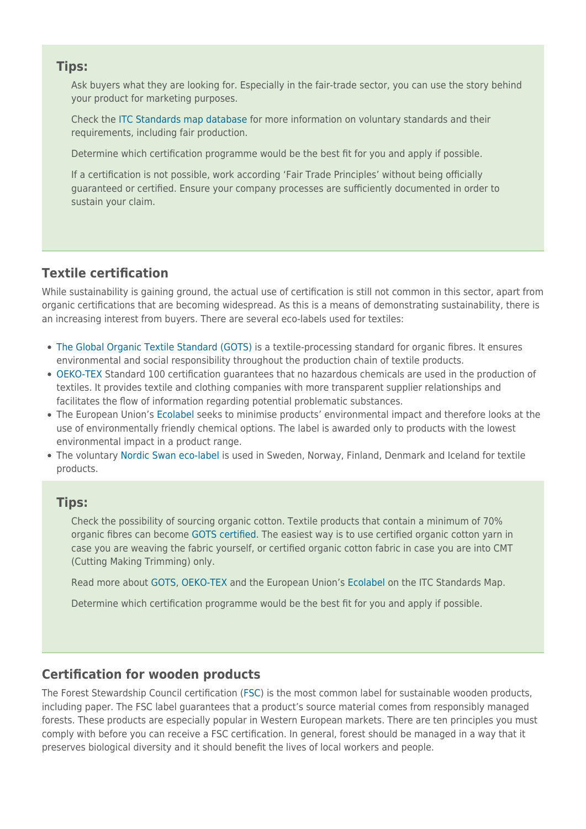### **Tips:**

Ask buyers what they are looking for. Especially in the fair-trade sector, you can use the story behind your product for marketing purposes.

Check the [ITC Standards map database](http://www.standardsmap.org/identify) for more information on voluntary standards and their requirements, including fair production.

Determine which certification programme would be the best fit for you and apply if possible.

If a certification is not possible, work according 'Fair Trade Principles' without being officially guaranteed or certified. Ensure your company processes are sufficiently documented in order to sustain your claim.

# **Textile certification**

While sustainability is gaining ground, the actual use of certification is still not common in this sector, apart from organic certifications that are becoming widespread. As this is a means of demonstrating sustainability, there is an increasing interest from buyers. There are several eco-labels used for textiles:

- [The Global Organic Textile Standard \(GOTS\)](http://www.global-standard.org/) is a textile-processing standard for organic fibres. It ensures environmental and social responsibility throughout the production chain of textile products.
- [OEKO-TEX](http://www.oeko-tex.com) Standard 100 certification guarantees that no hazardous chemicals are used in the production of textiles. It provides textile and clothing companies with more transparent supplier relationships and facilitates the flow of information regarding potential problematic substances.
- The European Union's [Ecolabel](http://ec.europa.eu/environment/ecolabel/) seeks to minimise products' environmental impact and therefore looks at the use of environmentally friendly chemical options. The label is awarded only to products with the lowest environmental impact in a product range.
- The voluntary [Nordic Swan eco-label](http://www.nordic-ecolabel.org/) is used in Sweden, Norway, Finland, Denmark and Iceland for textile products.

### **Tips:**

Check the possibility of sourcing organic cotton. Textile products that contain a minimum of 70% organic fibres can become [GOTS certified](https://www.global-standard.org/). The easiest way is to use certified organic cotton yarn in case you are weaving the fabric yourself, or certified organic cotton fabric in case you are into CMT (Cutting Making Trimming) only.

Read more about [GOTS,](http://www.standardsmap.org/review.aspx?standards=30) [OEKO-TEX](http://www.standardsmap.org/review.aspx?standards=160) and the European Union's [Ecolabel](http://www.standardsmap.org/review.aspx?standards=140) on the ITC Standards Map.

Determine which certification programme would be the best fit for you and apply if possible.

# **Certification for wooden products**

The Forest Stewardship Council certification ([FSC\)](https://fsc.org/en) is the most common label for sustainable wooden products, including paper. The FSC label guarantees that a product's source material comes from responsibly managed forests. These products are especially popular in Western European markets. There are ten principles you must comply with before you can receive a FSC certification. In general, forest should be managed in a way that it preserves biological diversity and it should benefit the lives of local workers and people.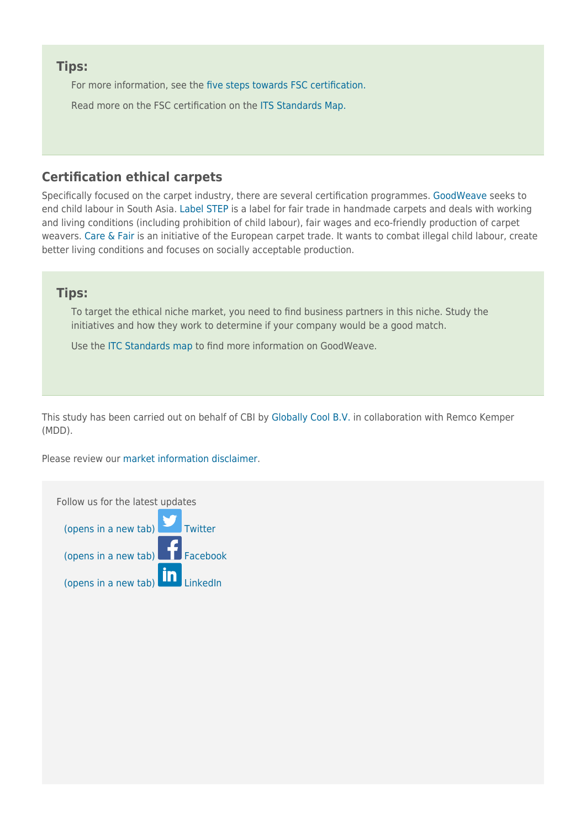### **Tips:**

For more information, see the [five steps towards FSC certification.](https://fsc.org/en/page/become-certified#process)

Read more on the FSC certification on the [ITS Standards Map.](http://www.standardsmap.org/review.aspx?standards=27)

# **Certification ethical carpets**

Specifically focused on the carpet industry, there are several certification programmes. [GoodWeave](https://goodweave.org/) seeks to end child labour in South Asia. [Label STEP](https://www.label-step.org/en/) is a label for fair trade in handmade carpets and deals with working and living conditions (including prohibition of child labour), fair wages and eco-friendly production of carpet weavers. [Care & Fair](https://www.care-fair.org/about-care--fair.html) is an initiative of the European carpet trade. It wants to combat illegal child labour, create better living conditions and focuses on socially acceptable production.

### **Tips:**

To target the ethical niche market, you need to find business partners in this niche. Study the initiatives and how they work to determine if your company would be a good match.

Use the [ITC Standards map](http://www.standardsmap.org/review.aspx?standards=34) to find more information on GoodWeave.

This study has been carried out on behalf of CBI by [Globally Cool B.V.](http://www.globallycool.nl/) in collaboration with Remco Kemper (MDD).

Please review our [market information disclaimer.](https://www.cbi.eu/disclaimer/)

Follow us for the latest updates [\(opens in a new tab\)](https://twitter.com/CBI_NL) [Twitter](https://twitter.com/CBI_NL) [\(opens in a new tab\)](https://www.facebook.com/CBI.EU)  $\blacksquare$  [Facebook](https://www.facebook.com/CBI.EU) [\(opens in a new tab\)](http://www.linkedin.com/company/cbi---centre-for-the-promotion-of-imports-from-developing-countries)  $\ln$  [LinkedIn](http://www.linkedin.com/company/cbi---centre-for-the-promotion-of-imports-from-developing-countries)